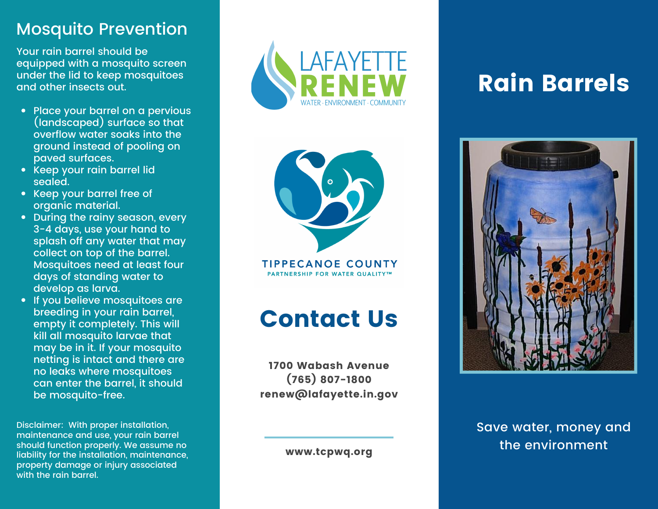### Mosquito Prevention

Your rain barrel should be equipped with a mosquito screen under the lid to keep mosquitoes and other insects out.

- Place your barrel on a pervious (landscaped*)* surface so that overtlow water soaks into the ground instead of pooling on paved surtaces.
- Keep your raın barrel lıd sealed.
- Keep your barrel tree ot organic material.
- During the rainy season, every 3-4 days, use your hand to splash off any water that may collect on top of the barrel. Mosquitoes need at least four days of standing water to develop as larva.
- If you believe mosquitoes are breeding in your rain barrel, empty it completely. This will kill all mosquito larvae that may be in it. If your mosquito netting is intact and there are no leaks where mosquitoes can enter the barrel, it should be mosquito-free.

Disclaimer: With proper installation, maintenance and use, your rain barrel should function properly. We assume n o liability for the installation, maintenance , property damage or injury associated with the rain barrel.





**TIPPECANOE COUNTY** PARTNERSHIP FOR WATER QUALITY™

## Contact Us

1700 Wabash Avenue (765) 807–1800 renew@lafayette.in.gov

www.tcpwq.org

# Rain Barrels



Save water, money and the environment